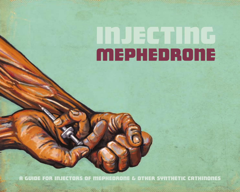# **Injugating MEPHEDRONE**

A guide for injectors of mephedrone & other synthetic cathinones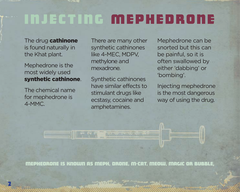### Injecting Mephedrone

The drug cathinone is found naturally in the Khat plant.

Mephedrone is the most widely used synthetic cathinone.

The chemical name for mephedrone is 4-MMC.

2

There are many other synthetic cathinones like 4-MEC, MDPV, methylone and mexadrone.

Synthetic cathinones have similar effects to stimulant drugs like ecstasy, cocaine and amphetamines.

Mephedrone can be snorted but this can be painful, so it is often swallowed by either 'dabbing' or 'bombing'.

Injecting mephedrone is the most dangerous way of using the drug.

Mephedrone is known as Meph, Drone, M-CAT, Meow, Magic or Bubble.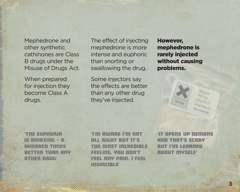Mephedrone and other synthetic cathinones are Class B drugs under the Misuse of Drugs Act.

When prepared for injection they become Class A drugs.

The effect of injecting mephedrone is more intense and euphoric than snorting or swallowing the drug.

Some injectors say the effects are better than any other drug they've injected.

However, mephedrone is rarely injected without causing problems.



'The euphoria is amazing – a hundred times better than any other drug'

'I'm aware I'm not all right but it's the most incredible feeling, you don't feel any pain. I feel invincible'

'It opens up demons and that's scary but I've learned about myself'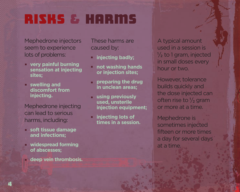### RISKs & Harms

Mephedrone injectors seem to experience lots of problems:

- **very painful burning . sensation at injecting sites;**
- **swelling and . discomfort from injecting.**

Mephedrone injecting can lead to serious harms, including:

- **soft tissue damage . and infections;**
- **widespread forming . of abscesses;**
- **deep vein thrombosis. .**

These harms are caused by:

- **injecting badly; .**
- **not washing hands . or injection sites;**
- **preparing the drug in unclean areas; .**
- **using previously used, unsterile injection equipment; .**
- **injecting lots of times in a session. .**

A typical amount used in a session is  $\frac{1}{2}$  to 1 gram, injected in small doses every hour or two.

However, tolerance builds quickly and the dose injected can often rise to  $\frac{1}{2}$  gram or more at a time.

Mephedrone is sometimes injected fifteen or more times a day for several days at a time.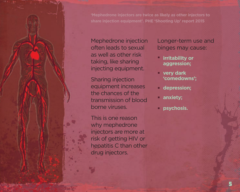Mephedrone injection often leads to sexual as well as other risk taking, like sharing injecting equipment.

Sharing injection equipment increases the chances of the transmission of blood borne viruses.

This is one reason why mephedrone injectors are more at risk of getting HIV or hepatitis C than other drug injectors.

Longer-term use and binges may cause:

- **irritability or aggression; .**
- **very dark . 'comedowns';**
- **depression; .**
- **anxiety; .**
- **psychosis. .**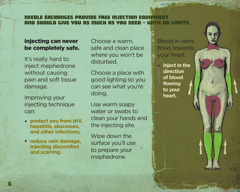#### GES PROVIDE FREE INJECTION EQUIPMENT<br>DE VOIL QE MUCY QE VOIL NEEN - INITY NA LIMITE. ann syould give you as mucy as you need – w

### Injecting can never be completely safe.

It's really hard to inject mephedrone without causing pain and soft tissue damage.

Improving your injecting technique can:

- **protect you from HIV, . hepatitis, abscesses, and other infections;**
- **reduce vein damage, . injecting discomfort and scarring.**

Choose a warm, safe and clean place where you won't be disturbed.

Choose a place with good lighting so you can see what you're doing.

Use warm soapy water or swabs to clean your hands and the injecting site.

Wipe down the surface you'll use to prepare your mephedrone.

Blood in veins flows towards your heart:

**inject in the direction of blood flowing to your heart. .**

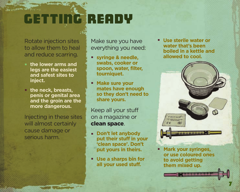## getting ready

Rotate injection sites to allow them to heal and reduce scarring.

- **the lower arms and . legs are the easiest and safest sites to inject.**
- **the neck, breasts, . penis or genital area and the groin are the more dangerous.**

Injecting in these sites will almost certainly cause damage or serious harm.

Make sure you have everything you need:

- **syringe & needle, . swabs, cooker or spoon, water, filter, tourniquet.**
- **Make sure your mates have enough so they don't need to share yours. .**

Keep all your stuff on a magazine or clean space.

- **Don't let anybody . put their stuff in your 'clean space'. Don't put yours in theirs.**
- **Use a sharps bin for . all your used stuff.**

**Use sterile water or . water that's been boiled in a kettle and allowed to cool.**



**Mark your syringes, or use coloured ones to avoid getting them mixed up. .**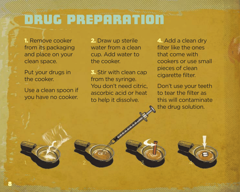### drug preparation

 $2. 3.$ 

1. Remove cooker from its packaging and place on your clean space.

Put your drugs in the cooker.

Use a clean spoon if you have no cooker.

2. Draw up sterile water from a clean cup. Add water to the cooker.

3. Stir with clean cap from the syringe. You don't need citric, ascorbic acid or heat to help it dissolve.

4. Add a clean dry filter like the ones that come with cookers or use small pieces of clean cigarette filter.

Don't use your teeth to tear the filter as this will contaminate the drug solution.

4.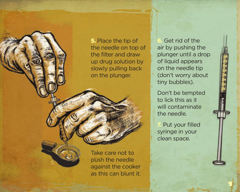5. Place the tip of the needle on top of the filter and draw up drug solution by slowly pulling back on the plunger.

6. Get rid of the air by pushing the plunger until a drop of liquid appears on the needle tip (don't worry about tiny bubbles).

Don't be tempted to lick this as it will contaminate the needle.

Put your filled syringe in your clean space.

e

Take care not to push the needle against the cooker as this can blunt it.

5.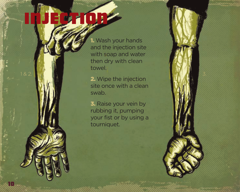# injection

10

1. Wash your hands and the injection site with soap and water then dry with clean towel.

2. Wipe the injection site once with a clean swab. 1 & 2. 3.

> 3. Raise your vein by rubbing it, pumping your fist or by using a tourniquet.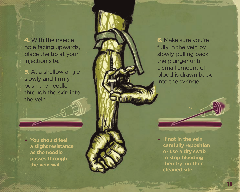4. With the needle hole facing upwards, place the tip at your injection site.

5. At a shallow angle slowly and firmly push the needle through the skin into the vein.

 $5. 6.$ 

**You should feel . a slight resistance as the needle passes through the vein wall.**

6. Make sure you're fully in the vein by slowly pulling back the plunger until a small amount of blood is drawn back into the syringe.

**If not in the vein . carefully reposition or use a dry swab to stop bleeding then try another, cleaned site.**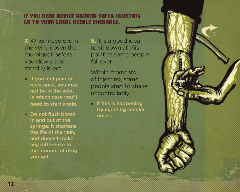### If you need advice around safer injecting go to your local needle exchange.

7. When needle is in the vein, loosen the tourniquet before you slowly and steadily inject.

- **If you feel pain or . resistance, you may not be in the vein, in which case you'll need to start again.**
- **Do not flush blood . in and out of the syringe: it shortens the life of the vein, and doesn't make any difference to the amount of drug you get.**

8. It is a good idea to sit down at this point as some people fall over.

Within moments of injecting, some people start to shake uncontrollably:

**if this is happening .try injecting smaller doses.**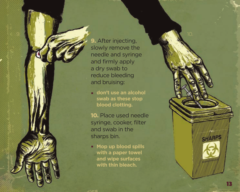**9.** After injecting, slowly remove the needle and syringe and firmly apply a dry swab to reduce bleeding and bruising:

 $9. 10 10 10$ 

**don't use an alcohol swab as these stop blood clotting.**

10. Place used needle syringe, cooker, filter and swab in the sharps bin. **...**<br>**1** s a s **.** 

**Mop up blood spills with a paper towel and wipe surfaces with thin bleach.**

**SHARPS**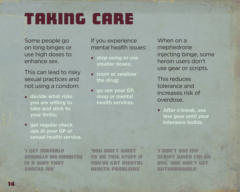## taking care

Some people go on long binges or use high doses to enhance sex.

This can lead to risky sexual practices and not using a condom:

- **decide what risks . you are willing to take and stick to your limits;**
- **get regular check . ups at your GP or sexual health service.**

'I get majorly sexually dis-inhibited in a way that shocks me'

'You don't want to do this stuff if you've got mental health problems'

If you experience mental health issues: **stop using or use .**

**snort or swallow . the drug; go see your GP, .drug or mental health services.**

When on a mephedrone injecting binge, some heroin users don't use gear or scripts.

This reduces tolerance and increases risk of overdose.

**After a break, use . less gear until your tolerance builds.**

'I don't use my **SCRIPT WHEN I'M** one. YOU don't get **WITHDRAWALS**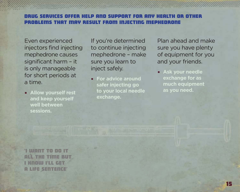#### drug services offer help and support for any health or other problems that may result from injecting mephendric

Even experienced injectors find injecting mephedrone causes significant harm – it is only manageable for short periods at a time.

**and keep yourself well between** 

If you're determined to continue injecting mephedrone – make sure you learn to inject safely. **For advice around <b>For advice a** 

**Allow yourself rest as you need. . safer injecting go to your local needle** 

Plan ahead and make sure you have plenty of equipment for you and your friends.

**Ask your needle exchange for as** 

'I want to do it all the time but I know I'll get a life sentence'